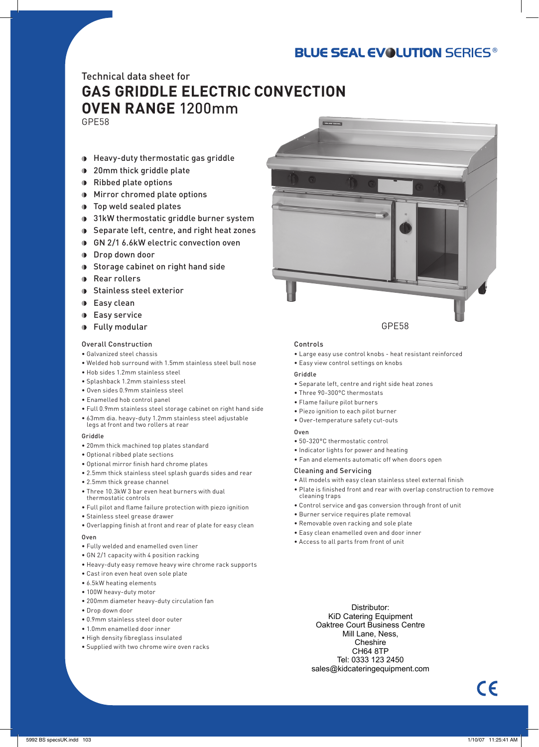## **BLUE SEAL EVOLUTION SERIES®**

### Technical data sheet for **GAS GRIDDLE ELECTRIC CONVECTION OVEN RANGE** 1200mm GPE58

- Heavy-duty thermostatic gas griddle
- **1** 20mm thick griddle plate
- Ribbed plate options
- Mirror chromed plate options
- **D** Top weld sealed plates
- **1** 31kW thermostatic griddle burner system
- Separate left, centre, and right heat zones
- GN 2/1 6.6kW electric convection oven
- **Drop down door**
- **Storage cabinet on right hand side**
- **Rear rollers**
- **Stainless steel exterior**
- **Easy clean**
- **Easy service**
- **D** Fully modular

#### Overall Construction

- Galvanized steel chassis
- Welded hob surround with 1.5mm stainless steel bull nose
- Hob sides 1.2mm stainless steel
- Splashback 1.2mm stainless steel
- Oven sides 0.9mm stainless steel
- Enamelled hob control panel
- Full 0.9mm stainless steel storage cabinet on right hand side
- 63mm dia. heavy-duty 1.2mm stainless steel adjustable legs at front and two rollers at rear

#### Griddle

- 20mm thick machined top plates standard
- Optional ribbed plate sections
- Optional mirror finish hard chrome plates
- 2.5mm thick stainless steel splash guards sides and rear
- 2.5mm thick grease channel
- Three 10.3kW 3 bar even heat burners with dual
- thermostatic controls
- Full pilot and flame failure protection with piezo ignition
- Stainless steel grease drawer
- Overlapping finish at front and rear of plate for easy clean

#### Oven

- Fully welded and enamelled oven liner
- GN 2/1 capacity with 4 position racking
- Heavy-duty easy remove heavy wire chrome rack supports
- Cast iron even heat oven sole plate
- 6.5kW heating elements
- 100W heavy-duty motor
- 200mm diameter heavy-duty circulation fan
- Drop down door
- 0.9mm stainless steel door outer
- 1.0mm enamelled door inner
- High density fibreglass insulated
- Supplied with two chrome wire oven racks



#### Controls

- Large easy use control knobs heat resistant reinforced
- Easy view control settings on knobs

#### Griddle

- Separate left, centre and right side heat zones
- Three 90-300°C thermostats
- Flame failure pilot burners
- Piezo ignition to each pilot burner
- Over-temperature safety cut-outs

#### Oven

- 50-320°C thermostatic control
- Indicator lights for power and heating
- Fan and elements automatic off when doors open

#### Cleaning and Servicing

- All models with easy clean stainless steel external finish
- Plate is finished front and rear with overlap construction to remove cleaning traps
- Control service and gas conversion through front of unit
- Burner service requires plate removal
- Removable oven racking and sole plate
- Easy clean enamelled oven and door inner
- Access to all parts from front of unit
	- Distributor: KiD Catering Equipment Oaktree Court Business Centre Mill Lane, Ness, **Cheshire** CH64 8TP Tel: 0333 123 2450 sales@kidcateringequipment.com